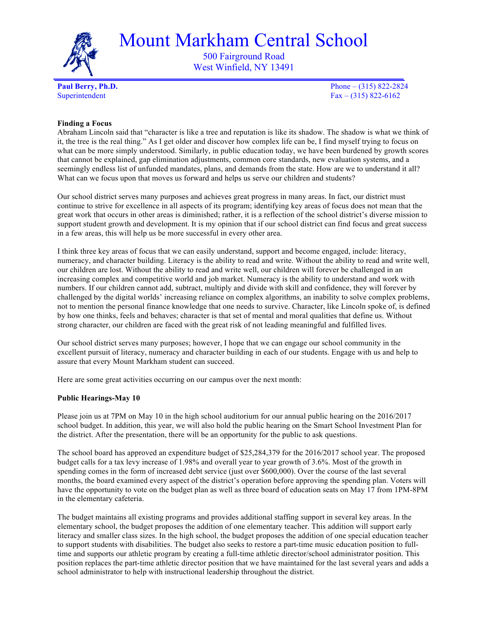

Mount Markham Central School

500 Fairground Road West Winfield, NY 13491

**Paul Berry, Ph.D.** Phone – (315) 822-2824 Superintendent  $Fax - (315) 822-6162$ 

# **Finding a Focus**

Abraham Lincoln said that "character is like a tree and reputation is like its shadow. The shadow is what we think of it, the tree is the real thing." As I get older and discover how complex life can be, I find myself trying to focus on what can be more simply understood. Similarly, in public education today, we have been burdened by growth scores that cannot be explained, gap elimination adjustments, common core standards, new evaluation systems, and a seemingly endless list of unfunded mandates, plans, and demands from the state. How are we to understand it all? What can we focus upon that moves us forward and helps us serve our children and students?

Our school district serves many purposes and achieves great progress in many areas. In fact, our district must continue to strive for excellence in all aspects of its program; identifying key areas of focus does not mean that the great work that occurs in other areas is diminished; rather, it is a reflection of the school district's diverse mission to support student growth and development. It is my opinion that if our school district can find focus and great success in a few areas, this will help us be more successful in every other area.

I think three key areas of focus that we can easily understand, support and become engaged, include: literacy, numeracy, and character building. Literacy is the ability to read and write. Without the ability to read and write well, our children are lost. Without the ability to read and write well, our children will forever be challenged in an increasing complex and competitive world and job market. Numeracy is the ability to understand and work with numbers. If our children cannot add, subtract, multiply and divide with skill and confidence, they will forever by challenged by the digital worlds' increasing reliance on complex algorithms, an inability to solve complex problems, not to mention the personal finance knowledge that one needs to survive. Character, like Lincoln spoke of, is defined by how one thinks, feels and behaves; character is that set of mental and moral qualities that define us. Without strong character, our children are faced with the great risk of not leading meaningful and fulfilled lives.

Our school district serves many purposes; however, I hope that we can engage our school community in the excellent pursuit of literacy, numeracy and character building in each of our students. Engage with us and help to assure that every Mount Markham student can succeed.

Here are some great activities occurring on our campus over the next month:

# **Public Hearings-May 10**

Please join us at 7PM on May 10 in the high school auditorium for our annual public hearing on the 2016/2017 school budget. In addition, this year, we will also hold the public hearing on the Smart School Investment Plan for the district. After the presentation, there will be an opportunity for the public to ask questions.

The school board has approved an expenditure budget of \$25,284,379 for the 2016/2017 school year. The proposed budget calls for a tax levy increase of 1.98% and overall year to year growth of 3.6%. Most of the growth in spending comes in the form of increased debt service (just over \$600,000). Over the course of the last several months, the board examined every aspect of the district's operation before approving the spending plan. Voters will have the opportunity to vote on the budget plan as well as three board of education seats on May 17 from 1PM-8PM in the elementary cafeteria.

The budget maintains all existing programs and provides additional staffing support in several key areas. In the elementary school, the budget proposes the addition of one elementary teacher. This addition will support early literacy and smaller class sizes. In the high school, the budget proposes the addition of one special education teacher to support students with disabilities. The budget also seeks to restore a part-time music education position to fulltime and supports our athletic program by creating a full-time athletic director/school administrator position. This position replaces the part-time athletic director position that we have maintained for the last several years and adds a school administrator to help with instructional leadership throughout the district.